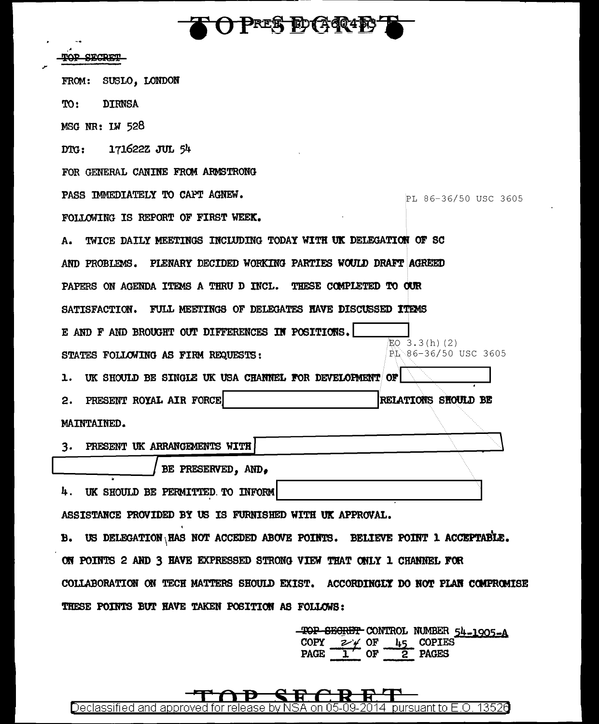**FOPRES DGQIET** 

مر

| SECRET                                                                         |                            |
|--------------------------------------------------------------------------------|----------------------------|
| SUSLO, LONDON<br>FROM:                                                         |                            |
| <b>DIRNSA</b><br>TO:                                                           |                            |
| MSG NR: LW 528                                                                 |                            |
| 171622Z JUL 54<br>DG:                                                          |                            |
| FOR GENERAL CANINE FROM ARMSTRONG                                              |                            |
| PASS IMMEDIATELY TO CAPT AGNEW.                                                | PL 86-36/50 USC 3605       |
| FOLLOWING IS REPORT OF FIRST WEEK.                                             |                            |
| TWICE DAILY MEETINGS INCLUDING TODAY WITH UK DELEGATION OF SC<br>А.            |                            |
| AND PROBLEMS. PLENARY DECIDED WORKING PARTIES WOULD DRAFT AGREED               |                            |
| PAPERS ON AGENDA ITEMS A THRU D INCL. THESE COMPLETED TO OUR                   |                            |
| FULL MEETINGS OF DELEGATES HAVE DISCUSSED ITEMS<br><b>SATISFACTION.</b>        |                            |
| E AND F AND BROUGHT OUT DIFFERENCES IN POSITIONS.                              | EO 3.3(h)(2)               |
| STATES FOLLOWING AS FIRM REQUESTS:                                             | PL 86-36/50 USC 3605       |
| UK SHOULD BE SINGLE UK USA CHANNEL FOR DEVELOPMENT OF<br>ı.                    |                            |
| PRESENT ROYAL AIR FORCE<br>2.                                                  | <b>RELATIONS SHOULD BE</b> |
| MAINTAINED.                                                                    |                            |
| PRESENT UK ARRANGEMENTS WITH<br>3.                                             |                            |
| BE PRESERVED, AND,                                                             |                            |
| 4. UK SHOULD BE PERMITTED TO INFORM                                            |                            |
| ASSISTANCE PROVIDED BY US IS FURNISHED WITH UK APPROVAL.                       |                            |
| B. US DELEGATION HAS NOT ACCEDED ABOVE POINTS. BELIEVE POINT 1 ACCEPTABLE.     |                            |
| ON POINTS 2 AND 3 HAVE EXPRESSED STRONG VIEW THAT ONLY 1 CHANNEL FOR           |                            |
| COLLABORATION ON TECH MATTERS SHOULD EXIST. ACCORDINGLY DO NOT PLAN COMPROMISE |                            |
| THESE POINTS BUT HAVE TAKEN POSITION AS FOLLOWS:                               |                            |
|                                                                                |                            |

TOP SEGRET CONTROL NUMBER  $54-1905-A$ <br>COPY  $2 \neq 0F$   $45$  COPIES<br>PAGE  $1$  OF 2 PAGES

q  $\, {\bf R} \,$ R L r तिः Đ Declassified and approved for release by NSA on 05-09-2014 pursuant to E.O. 13526

 $\mathbf{\sim}$